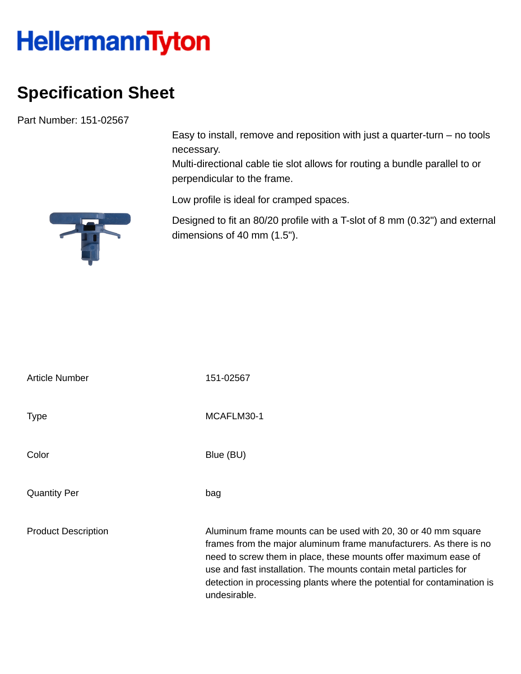## **HellermannTyton**

## **Specification Sheet**

Part Number: 151-02567

Easy to install, remove and reposition with just a quarter-turn – no tools necessary.

Multi-directional cable tie slot allows for routing a bundle parallel to or perpendicular to the frame.

Low profile is ideal for cramped spaces.

Designed to fit an 80/20 profile with a T-slot of 8 mm (0.32") and external dimensions of 40 mm (1.5").

| <b>Article Number</b>      | 151-02567                                                                                                                                                                                                                                                                                                                                                              |
|----------------------------|------------------------------------------------------------------------------------------------------------------------------------------------------------------------------------------------------------------------------------------------------------------------------------------------------------------------------------------------------------------------|
| <b>Type</b>                | MCAFLM30-1                                                                                                                                                                                                                                                                                                                                                             |
| Color                      | Blue (BU)                                                                                                                                                                                                                                                                                                                                                              |
| <b>Quantity Per</b>        | bag                                                                                                                                                                                                                                                                                                                                                                    |
| <b>Product Description</b> | Aluminum frame mounts can be used with 20, 30 or 40 mm square<br>frames from the major aluminum frame manufacturers. As there is no<br>need to screw them in place, these mounts offer maximum ease of<br>use and fast installation. The mounts contain metal particles for<br>detection in processing plants where the potential for contamination is<br>undesirable. |

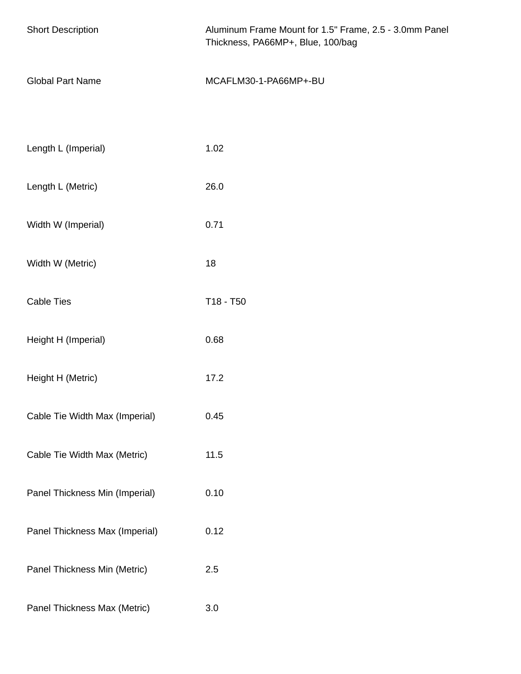| <b>Short Description</b>       | Aluminum Frame Mount for 1.5" Frame, 2.5 - 3.0mm Panel<br>Thickness, PA66MP+, Blue, 100/bag |  |  |
|--------------------------------|---------------------------------------------------------------------------------------------|--|--|
| <b>Global Part Name</b>        | MCAFLM30-1-PA66MP+-BU                                                                       |  |  |
|                                |                                                                                             |  |  |
| Length L (Imperial)            | 1.02                                                                                        |  |  |
| Length L (Metric)              | 26.0                                                                                        |  |  |
| Width W (Imperial)             | 0.71                                                                                        |  |  |
| Width W (Metric)               | 18                                                                                          |  |  |
| <b>Cable Ties</b>              | T18 - T50                                                                                   |  |  |
| Height H (Imperial)            | 0.68                                                                                        |  |  |
| Height H (Metric)              | 17.2                                                                                        |  |  |
| Cable Tie Width Max (Imperial) | 0.45                                                                                        |  |  |
| Cable Tie Width Max (Metric)   | 11.5                                                                                        |  |  |
| Panel Thickness Min (Imperial) | 0.10                                                                                        |  |  |
| Panel Thickness Max (Imperial) | 0.12                                                                                        |  |  |
| Panel Thickness Min (Metric)   | 2.5                                                                                         |  |  |
| Panel Thickness Max (Metric)   | 3.0                                                                                         |  |  |